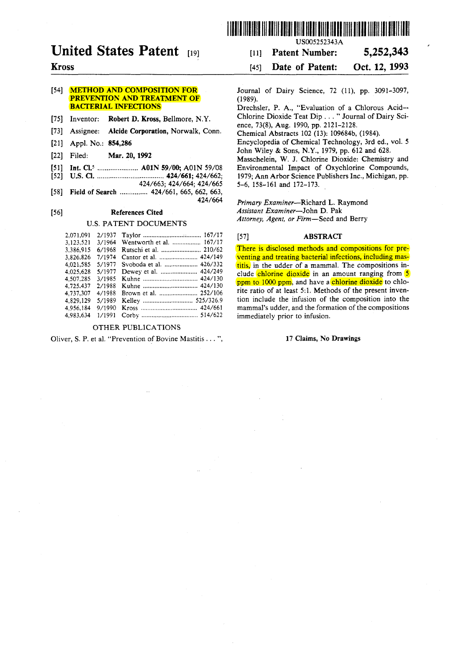

# **United States Patent** [19]

## Kross

## [54] **METHOD AND COMPOSITION FOR** PREVENTION AND TREATMENT OF BACTERIAL INFECTIONS

[75] Inventor: Robert D. Kross, Bellmore, N.Y.

- [73] Assignee: Alcide Corporation, Norwalk, Conn.
- [21] Appl. No.: 854,286
- [22] Filed: Mar. 20, 1992
- [51] Int. CI.5 ...................... AOIN 59/00; AOIN 59/08
- [52] U.S. CI. .................................... 424/661; 424/662;
- *424/663;* 424/664; *424/665*  [58] Field of Search ................ 424/661, 665, 662, 663, *424/664*

## [56] References Cited

## U.S. PATENT DOCUMENTS

| 2.071.091 | 2/1937 |                          |  |
|-----------|--------|--------------------------|--|
| 3,123,521 | 3/1964 | Wentworth et al.  167/17 |  |
| 3.386.915 | 6/1968 |                          |  |
| 3.826.826 | 7/1974 | Cantor et al.  424/149   |  |
| 4.021.585 | 5/1977 | Svoboda et al.  426/332  |  |
| 4.025.628 | 5/1977 | Dewey et al.  424/249    |  |
| 4.507.285 | 3/1985 |                          |  |
| 4.725.437 | 2/1988 |                          |  |
| 4,737,307 | 4/1988 | Brown et al.  252/106    |  |
| 4.829.129 | 5/1989 |                          |  |
| 4.956.184 | 9/1990 |                          |  |
| 4.983.634 | 1/1991 |                          |  |

## OTHER PUBLICA TIONS

Oliver, S. P. et al. "Prevention of Bovine Mastitis ... ",

USOO5252343A

## [11] Patent Number: 5,252,343

## [45] **Date of Patent:** Oct. 12, 1993

Journal of Dairy Science, 72 (11), pp. 3091-3097, (1989).

Drechsler, P. A., "Evaluation of a Chlorous Acid-- Chlorine Dioxide Teat Dip ... " Journal of Dairy Science, 73(8), Aug. 1990, pp. 2121-2128.

ChemicaI Abstracts 102 (13): 109684b, (1984).

Encyelopedia of Chemical Technology, 3rd ed., vol. 5 John Wiley & Sons, N.Y., 1979, pp. 612 and 628.

Masschelein, W. J. Chlorine Dioxide: Chemistry and Environmental Impact of Oxychlorine Compounds, 1979; Ann Arbor Science Publishers Inc., Michigan, pp. 5-6, 158-161 and 172-173.

*Primary Examiner-Richard* L. Raymond *Assistant Examiner-John* D. Pak *Attorney, Agent, or Firm-Seed* and Berry

## [57] ABSTRACT

There is disclosed methods and compositions for preventing and treating bacterial infections, ineluding mastitis, in the udder of a mammal. The compositions inelude chlorine dioxide in an amount ranging from 5 ppm to 1000 ppm, and have a chlorine dioxide to chlorite ratio of at least 5:1. Methods of the present invention inelude the infusion of the composition into the mammaI's udder, and the formation of the compositions immediately prior to infusion.

## 17 Claims, No Drawings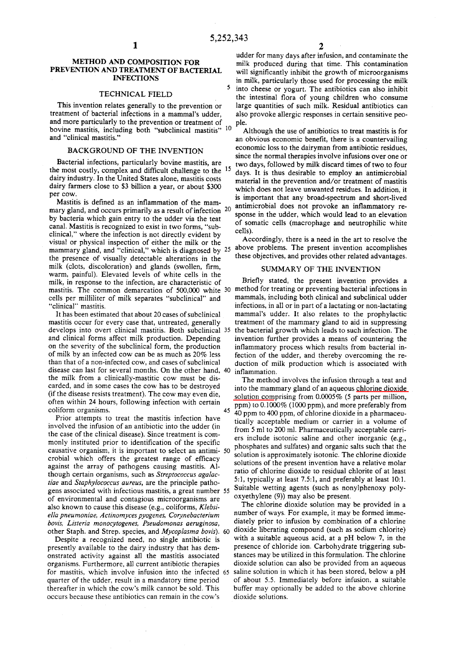#### METHOD AND COMPOSITION FOR PREVENTION AND TREATMENT OF BACTERIAL INFECTIONS

#### TECHNICAL FIELD

This invention relates generalIy to the prevention or treatment of bacterial infections in a mammal's udder, and more particularly to the prevention or treatment of bovine mastitis, including both "subclinical mastitis" 10 and "clinical mastitis."

## BACKGROUND OF THE INVENTION

Bacterial infections, particularIy bovine mastitis, are the most costly, complex and difficult challenge to the <sup>15</sup> dairy industry. In the United States alone, mastitis costs dairy farmers close to \$3 billion a year, or about \$300 per cow.

Mastitis is defined as an inflammation of the mammary gland, and occurs primarily as a result of infection  $20$ by bacteria which gain entry to the udder via the teat canal. Mastitis is recognized to exist in two forms, "subclinical," where the infection is not directly evident by visual or physical inspection of either the milk or the mammary gland, and "clinical," which is diagnosed by <sup>25</sup> the presence of visualIy detectable aIterations in the milk (clots, discoloration) and glands (swollen, firm, warm, painful). Elevated levels of white cells in the milk, in response to the infection, are characteristic of mastitis. The common demarcation of 500,000 white 30 method for treating or preventing bacterial infections in celIs per milliliter of milk separates "subclinical" and "clinical" mastitis.

It has been estimated that about 20 cases of subclinical mastitis occur for every case that, untreated, generalIy develops into overt clínical mastitis. Both subclinical 35 and clinical forms affect milk production. Depending on the severity of the subclinical form, the production of milk by an infected cow can be as much as 20% less than that of a non-infected cow, and cases of subclinical disease can last for several months. On the other hand. 40 the milk from a clinicalIy-mastitic cow must be discarded, and in some cases the cow has to be destroyed (if the disease resists treatment). The cow may even die, often within 24 hours, folIowing infection with certain coliform organisms.

Prior attempts to treat the mastitis infection have involved the infusion of an antibiotic into the udder (in the case of the clinical disease). Since treatment is commonly instituted prior to identification of the specific causative organism, it is important to select an antimi- 50 crobial which offers the greatest range of efficacy against the array of pathogens causing mastitis. AIthough certain organisms, such as *Streptococcus agalactiae* and *Staphylococcus aureus,* are the principie pathogens associated with infectious mastitis, a great number 55 of environmental and contagious microorganisms are also known to cause this disease (e.g., coliforms, *Klebsiella pneumoniae, Actinomyces pyogenes, Corynebacterium bovis, Listeria monocytogenes, Pseudomonas aeruginosa,*  other Staph. and Strep. species, and *Mycoplasma bovis).* 60

Despite a recognized need, no single antibiotic is presently available to the dairy industry that has demonstrated activity against alI the mastitis associated organisms. Furthermore, alI current antibiotic therapies for mastitis. which involve infusion into the infected 65 quarter of the udder, result in a mandatory time period thereafter in which the cow's milk cannot be sold. This occurs because these antibiotics can remain in the cow's

udder for many days after infusion, and contaminate the milk produced during that time. This contamination will significantly inhibit the growth of microorganisms in milk, particularly those used for processing the milk 5 into cheese or yogurt. The antibiotics can also inhibit the intestinal flora of young children who consume large quantities of such milk. Residual antibiotics can also provoke aIlergic responses in certain sensitive peopie.

AIthough the use of antibiotics to treat mastitis is for an obvious economic benefit, there is a countervailing economic loss to the dairyman from antibiotic residues, since the normal therapies involve infusions over one or two days, folIowed by milk discard times of two to four days. It is thus desirable to employ an antimicrobial material in the prevention and/or treatment of mastitis which does not leave unwanted residues. In addition, it is important that any broad-spectrum and short-lived antimicrobial does not provoke an inflammatory response in the udder, which would lead to an elevation of somatic cells (macrophage and neutrophilic white cells).

Accordingly, there is a need in the art to resolve the aboye problems. The present invention accomplishes these objectives, and provides other related advantages.

#### SUMMARY OF THE INVENTION

Briefly stated, the present invention provides a mammals, including both clinical and subclinical udder infections, in aIl or in part of a lactating or non-Iactating mammal's udder. It also relates to the prophylactic treatment of the mammary gland to aid in suppressing the bacterial growth which leads to such infection. The invention further provides a means of countering the inflammatory process which results from bacterial infection of the udder, and thereby overcoming the reduction of milk production which is associated with inflammation.

The method involves the infusion through a teat and into the mammary gland of an aqueous chlorine dioxide solution comprising from  $0.0005\%$  (5 parts per million, ppm) to 0.1000% (1000 ppm), and more preferably from 45 ppm to 6.1000 % (1000 ppm), and more preterative iting 40 ppm to 400 ppm, of chlorine dioxide in a pharmaceuticalIy acceptable medium or carrier in a volume of from 5 mi to 200 mI. PharmaceuticalIy acceptable carriers include isotonic saline and other inorganic (e.g., phosphates and sulfates) and organic salts such that the solution is approximately isotonic. The chlorine dioxide solutions of the present invention have a relative molar ratio of chlorine dioxide to residual chlorite of at least 5:1, typically at least 7.5:1, and preferably at least 10:1. Suitable wetting agents (such as nonylphenoxy polyoxyethylene (9)) may also be present.

The chlorine dioxide solution may be provided in a number of ways. For example, it may be formed immediately prior to infusion by combination of a chlorine dioxide liberating compound (such as sodium chlorite) with a suitable aqueous acid, at a pH below 7, in the presence of chloride ion. Carbohydrate triggering substances may be utilized in this formulation. The chlorine dioxide solution can also be provided from an aqueous saline solution in which it has been stored, below a pH of about 5.5. Immediately before infusion, a suitable buffer may optionalIy be added to the aboye chlorine dioxide solutions.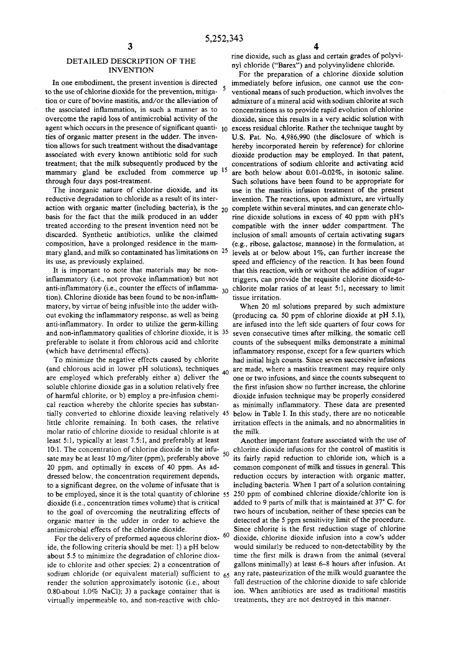## DETAILED DESCRIPTION OF THE INVENTION

In one embodiment, the present invention is directed to the use of chlorine dioxide for the prevention, mitigation or cure of bovine mastitis, and/or the alleviation of the associated inflammation, in such a manner as to overcome the rapid 10ss of antimicrobial activity of the ties of organic matter present in the udder. The invention allows for such treatment without the disadvantage associated with every known antibiotic sold for such treatment; that the milk subsequently produced by the mammary gland be excluded from commerce up 15 through four days post-treatment.

The inorganic nature of chlorine dioxide, and its reductive degradation to chloride as a result of its interaction with organic matter (including bacteria), is the  $20$ basis for the fact that the milk produced in an udder treated according to the present invention need not be discarded. Synthetic antibiotics, unlike the claimed composition, have a prolonged residence in the mammary gland, and milk so contaminated has limitations on  $25$ its use, as previously explained.

It is important to note that materials may be noninflammatory (i.e., not provoke inflammation) but not anti-inflammatory (i.e., counter the effects of inflamma- $_{30}$ tion). Chlorine dioxide has been found to be non-inflammatory, by virtue of being infusible into the udder without evoking the inflammatory response, as well as being anti-inflammatory. In order to utilize the germ-killing and non-inflammatory qualities of chlorine dioxide, it is 35 preferable to isolate it from chlorous acid and chlorite (which have detrimental effects).

To minimize the negative effects caused by chlorite (and chlorous acid in lower pH solutions), techniques  $_{40}$ are employed which preferably either a) deliver the soluble chlorine dioxide gas in a solution relatively free of harmful chlorite, or b) employ a pre-infusion chemical reaction whereby the chlorite species has substantially converted to chlorine dioxide leaving relatively 45 little chlorite remaining. In both cases, the relative molar ratio of chlorine dioxide' to residual chlorite is at least 5:1, typically at least 7.5:1, and preferably at least 10:1. The concentration of chlorine dioxide in the infuso sate may be at least 10 mg/liter (ppm), preferably above 50 20 ppm, and optimally in excess of 40 ppm. As addressed below, the concentration requirement depends, to a significant degree, on the volume of infusate that is to be employed, since it is the total quantity of chlorine 55 250 ppm of combined chlorine dioxide/chlorite ion is dioxide (i.e., concentration times volume) that is critical to the goal of overcoming the neutralizing effects of organic matter in the udder in order to achieve the antimicrobial effects of the chlorine dioxide.

For the delivery of preformed aqueous chlorine dioxide, the following criteria should be met: 1) a pH below about 5.5 to minimize the degradation of chlorine dioxide to chlorite and other species: 2) a concentration of sodium chloride (or equivalent material) sufficient to  $65$ render the solution approximately isotonic (i.e., about 0.80-about 1.0% NaCI); 3) a package container that is virtually impermeable to, and non-reactive with chlo-

rine dioxide, such as glass and certain grades of polyvinyl chloride ("Barex") and polyvinylidene chloride.

agent which occurs in the presence of significant quanti- 10 excess residual chlorite. Rather the technique taught by For the preparation of a chlorine dioxide solution immediately before infusion, one cannot use the conventional means of such production, which involves the admixture of a mineral acid with sodium chlorite at such concentrations as to provide rapid evolution of chlorine dioxide, since this results in a very acidic solution with U.S. Pat. No. 4,986,990 (the disclosure of which is hereby incorporated herein by reference) for chlorine dioxide production may be employed. In that patent, concentrations of sodium chlorite and activating acid are both below about 0.01-0.02%, in isotonic saline. Such solutions have been found to be appropriate for use in the mastitis infusion treatment of the present invention. The reactions, upon admixture, are virtually complete within several minutes, and can generate chlorine dioxide solutions in excess of 40 ppm with pH's compatible with the inner udder compartment. The inclusion of small amounts of certain activating sugars (e.g., ribose, galactose, mannose) in the formulation, at levels at or below about  $1\%$ , can further increase the speed and efficiency of the reaction. It has been found that this reaction, with or without the addition of sugar triggers, can provide the requisite chlorine dioxide-tochlorite molar ratios of at least 5:1, necessary to limit tissue irritation,

> When 20 mI solutions prepared by such admixture (producing ca. 50 ppm of chlorine dioxide at pH 5.1), are infused into the left side quarters of four cows for seven consecutive times after milking, the somatic cell counts of the subsequent milks demonstrate a minimal inflammatory response, except for a few quarters which had initial high counts. Since seven successive infusions are made, where a mastitis treatment may require only one or two infusions, and since the counts subsequent to the first infusion show no further increase, the chlorine dioxide infusion technique may be properly considered as minimally inflammatory. These data are presented below in Table 1. In this study, there are no noticeable irritation effects in the animals, and no abnormalities in the milk.

> Another important feature associated with the use of chlorine dioxide infusions for the control of mastitis is its fairly rapid reduction to chloride ion, which is a common component of milk and tissues in general. This reduction occurs by interaction with organic matter, including bacteria. When 1 part of a solution containing added to 9 parts of milk that is maintained at 37° C. for two hours of incubation, neither of these species can be detected at the 5 ppm sensitivity limit of the procedure. Since chlorite is the first reduction stage of chlorine dioxide, chlorine dioxide infusion into a cow's udder would similarly be reduced to non-detectability by the time the first milk is drawn from the animal (several gallons minimally) at least 6-8 hours after infusion. At any rate, pasteurization of the milk would guarantee the full destruction of the chlorine dioxide to safe chloride ion. When antibiotics are used as traditional mastitis treatments, they are not destroyed in this manner.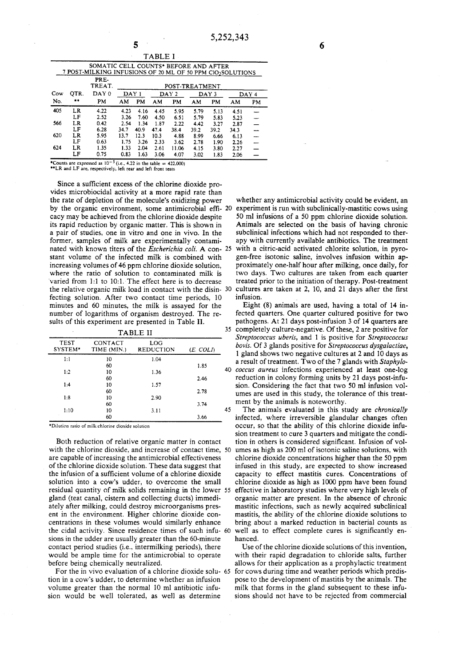|      | PRE-<br>TREAT. | POST-TREATMENT |      |                  |       |                  |      |       |                                                                                                    |
|------|----------------|----------------|------|------------------|-------|------------------|------|-------|----------------------------------------------------------------------------------------------------|
| OTR. | DAY 0          |                |      |                  |       |                  |      |       | DAY 4                                                                                              |
| **   | PM             | AM             | PM   | AM               | PM    | AM               | PM   | AM    | PM                                                                                                 |
| LR   | 4.22           | 4.23           | 4.16 | 4.45             | 5.95  | 5.79             | 5.13 | 4.51  |                                                                                                    |
| LF   | 2.52           | 3.26           | 7.60 | 4.50             | 6.51  | 5.79             | 5.83 | 5.23  |                                                                                                    |
| LR   | 0.42           | 2.54           | 1.34 | 1.87             | 2.22  | 4.42             | 3.27 | 2.87  |                                                                                                    |
| LF   | 6.28           | 34.7           | 40.9 | 47.4             | 38.4  | 39.2             | 39.2 | 34.3  |                                                                                                    |
| LR   | 5.95           | 13.7           | 12.3 | 10.3             | 4.88  | 8.99             | 6.66 | 6.13  |                                                                                                    |
| LF   | 0.63           | 1.75           | 3.26 | 2.33             | 3.62  | 2.78             | 1.90 | 2.26  |                                                                                                    |
| LR   | 1.35           | 1.33           | 2.04 | 2.61             | 11.06 | 4.15             | 3.80 | 2.27  |                                                                                                    |
| LF   | 0.75           | 0.83           | 1.63 | 3.06             | 4.07  | 3.02             | 1.83 | 2.06  |                                                                                                    |
|      |                |                |      | DAY <sub>1</sub> |       | DAY <sub>2</sub> |      | DAY 3 | SOMATIC CELL COUNTS* BEFORE AND AFTER<br>7 POST-MILKING INFUSIONS OF 20 ML OF 50 PPM CIO2SOLUTIONS |

TABLE I

**\*Counts are expressed as**  $10^{-5}$  **(i.e., 4.22 in the table = 422.000) \*\*LR** and LF are, respectively, left rear and left front teats

Since a sufficient excess of the chlorine dioxide provides microbiocidal activity at a more rapid rate than the rate of depletion of the molecuIe's oxidizing power by the organic environment, some antimicrobial effi- 20 cacy may be achieved from the chIorine dioxide despite its rapid reduction by organic matter. This is shown in a pair of studies, one in vitro and one in vivo. In the former, samples of milk are experimentally contaminated with known titers of the *Escherichia coli*. A con- 25 stant volume of the infected milk is combined with increasing volumes of 46 ppm chlorine dioxide solution, where the ratio of solution to contaminated milk is varied from 1:1 to 10:1. The effect here is to decrease the relative organic milk load in contact with the disin- 30 fecting solution. After two contact time periods, 10 minutes and 60 minutes, the milk is assayed for the number of logarithms of organism destroyed. The results of this experiment are presented in Table II.

| TABLE II               |                        |                         |          |    |  |
|------------------------|------------------------|-------------------------|----------|----|--|
| <b>TEST</b><br>SYSTEM* | CONTACT<br>TIME (MIN.) | LOG<br><b>REDUCTION</b> | (E. COLD |    |  |
| 1:1                    | 10                     | 1.04                    |          |    |  |
|                        | 60                     |                         | 1.85     |    |  |
| 1:2                    | 10                     | 1.36                    |          | 40 |  |
|                        | 60                     |                         | 2.46     |    |  |
| 1:4                    | 10                     | 1.57                    |          |    |  |
|                        | 60                     |                         | 2.78     |    |  |
| 1:8                    | 10                     | 2.90                    |          |    |  |
|                        | 60                     |                         | 3.74     |    |  |
| 1:10                   | 10                     | 3.11                    |          | 45 |  |
|                        | 60                     |                         | 3.66     |    |  |

 $*$ Dilution ratio of milk:chlorine dioxide solution

Both reduction of relative organic matter in contact with the chlorine dioxide, and increase of contact time, 50 are capable of increasing the antimicrobial effectiveness of the chlorine dioxide solution. These data suggest that the infusion of a sufficient volume of a chlorine dioxide solution into a cow's udder, to overcome the small residual quantity of milk solids remaining in the lower 55 gland (teat canal, cistern and collecting ducts) immediately after milking, could destroy microorganisms present in the environment. Higher chlorine dioxide concentrations in these volumes would similarly enhance the cidal activity. Since residence times of such infusions in the udder are usually greater than the 60-minute contact period studies (i.e., intermilking periods), there would be ample time for the antimicrobial to operate before being chemically neutralized.

For the in vivo evaluation of a chlorine dioxide solution in a cow's udder, to determine whether an infusion volume greater than the normal 10 ml antibiotic infusion would be well tolerated, as well as determine

whether any antimicrobial activity could be evident, an experiment is run with subclinically-mastitic cows using 50 mI infusions of a 50 ppm chlorine dioxide solution. AnimaIs are selected on the basis of having chronic subclinical infections which had not responded to therapy with currentIy available antibiotics. The treatment with a citric-acid activated chlorite solution, in pyrogen-free isotonic saline, involves infusion within approximately one-half hour after milking, once daily, for two days. Two cultures are taken from each quarter treated prior to the initiation of therapy. Post-treatment cultures are taken at 2, 10, and 21 days after the first infusion.

Eight (8) animals are used, having a total of 14 infected quarters. One quarter cultured positive for two pathogens. At 21 days post-infusion 3 of 14 quarters are 35 completely culture-negative. Of these, 2 are positive for *Streptococcus uberis,* and 1 is positive for *Streptococcus bovis.* Of 3 glands positive for *Streptococcus dysgalactiae,*  1 gland shows two negative cultures at 2 and 10 days as a result of treatment. Two of the 7 glands with *Staphylo-*40 *coccus aureus* infections experienced at least one-Iog reduction in colony forming units by 21 days post-infusion. Considering the fact that two 50 mI infusion volumes are used in this study, the tolerance of this treatment by the animals is noteworthy.

The animals evaluated in this study are *chronically*  infected, where irreversible glandular changes often occur, so that the ability of this chlorine dioxide infusion treatment to cure 3 quarters and mitigate the condition in others is considered significant. Infusion of volumes as high as 200 ml of isotonic saline solutions, with chlorine dioxide concentrations higher than the 50 ppm infused in this study, are expected to show increased capacity to effect mastitis cures. Concentrations of chlorine dioxide as high as 1000 ppm have been found 55 effective in laboratory studies where very high levels of organic matter are present. In the absence of chronic mastitic infections, such as newly acquired subclinical mastitis, the ability of the chlorine dioxide solutions to bring about a marked reduction in bacterial counts as well as to effect complete cures is significantly enhanced.

Use of the chlorine dioxide solutions of this invention, with their rapid degradation to chloride salts, further allows for their application as a prophylactic treatment for cows during time and weather periods which predispose to the development of mastitis by the animals. The milk that forms in the gland subsequent to these infusions should not have to be rejected from commercial